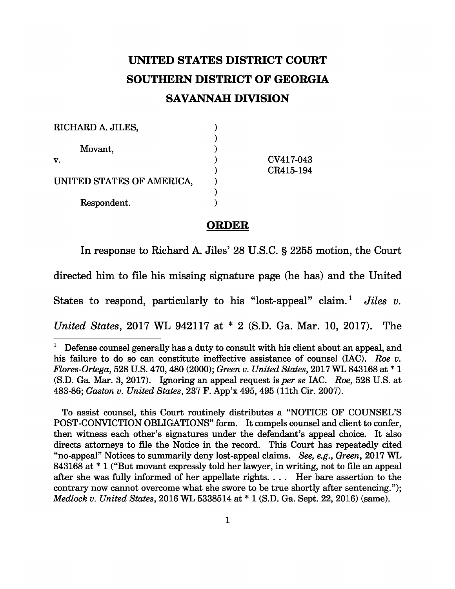## **UNITED STATES DISTRICT COURT SOUTHERN DISTRICT OF GEORGIA SAVANNAH DIVISION**

| RICHARD A. JILES,         |           |
|---------------------------|-----------|
|                           |           |
| Movant,                   |           |
| V.                        | CV417-043 |
|                           | CR415-194 |
| UNITED STATES OF AMERICA, |           |
|                           |           |
| Respondent.               |           |

## **ORDER**

In response to Richard A. Jiles' 28 U.S.C. § 2255 motion, the Court directed him to file his missing signature page (he has) and the United States to respond, particularly to his "lost-appeal" claim.<sup>1</sup> Jiles v. *United States*, 2017 WL 942117 at \* 2 (S.D. Ga. Mar. 10, 2017). The

To assist counsel, this Court routinely distributes a "NOTICE OF COUNSEL'S POST-CONVICTION OBLIGATIONS" form. It compels counsel and client to confer, then witness each other's signatures under the defendant's appeal choice. It also directs attorneys to file the Notice in the record. This Court has repeatedly cited "no-appeal" Notices to summarily deny lost-appeal claims. *See, e.g.* , *Green*, 2017 WL 843168 at \* 1 ("But movant expressly told her lawyer, in writing, not to file an appeal after she was fully informed of her appellate rights. . . . Her bare assertion to the contrary now cannot overcome what she swore to be true shortly after sentencing."); *Medlock v. United States* , 2016 WL 5338514 at \* 1 (S.D. Ga. Sept. 22, 2016) (same).

<sup>&</sup>lt;sup>1</sup> Defense counsel generally has a duty to consult with his client about an appeal, and his failure to do so can constitute ineffective assistance of counsel (IAC). *Roe v. Flores-Ortega*, 528 U.S. 470, 480 (2000); *Green v. United States*, 2017 WL 843168 at \* 1 (S.D. Ga. Mar. 3, 2017). Ignoring an appeal request is *per se* IAC. *Roe* , 528 U.S. at 483-86; *Gaston v. United States*, 237 F. App'x 495, 495 (11th Cir. 2007).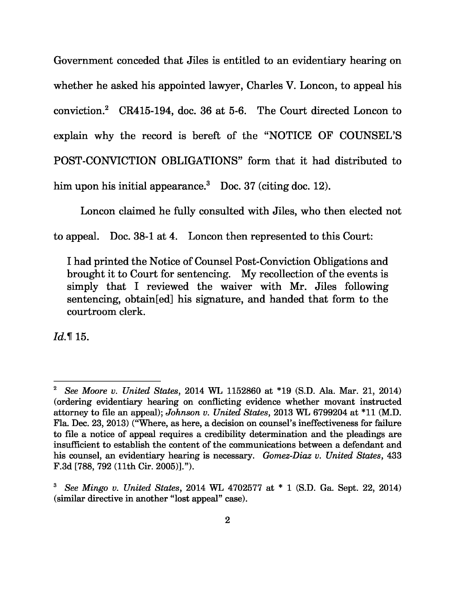Government conceded that Jiles is entitled to an evidentiary hearing on whether he asked his appointed lawyer, Charles V. Loncon, to appeal his conviction.<sup>2</sup> CR415-194, doc. 36 at 5-6. The Court directed Loncon to explain why the record is bereft of the "NOTICE OF COUNSEL'S POST-CONVICTION OBLIGATIONS" form that it had distributed to him upon his initial appearance.<sup>3</sup> Doc. 37 (citing doc. 12).

Loncon claimed he fully consulted with Jiles, who then elected not

to appeal. Doc. 38-1 at 4. Loncon then represented to this Court:

I had printed the Notice of Counsel Post-Conviction Obligations and brought it to Court for sentencing. My recollection of the events is simply that I reviewed the waiver with Mr. Jiles following sentencing, obtain[ed] his signature, and handed that form to the courtroom clerk.

*Id.* ¶ 15.

<sup>2</sup>*See Moore v. United States* , 2014 WL 1152860 at \*19 (S.D. Ala. Mar. 21, 2014) (ordering evidentiary hearing on conflicting evidence whether movant instructed attorney to file an appeal); *Johnson v. United States*, 2013 WL 6799204 at \*11 (M.D. Fla. Dec. 23, 2013) ("Where, as here, a decision on counsel's ineffectiveness for failure to file a notice of appeal requires a credibility determination and the pleadings are insufficient to establish the content of the communications between a defendant and his counsel, an evidentiary hearing is necessary. *Gomez-Diaz v. United States* , 433 F.3d [788, 792 (11th Cir. 2005)].").

<sup>3</sup>*See Mingo v. United States* , 2014 WL 4702577 at \* 1 (S.D. Ga. Sept. 22, 2014) (similar directive in another "lost appeal" case).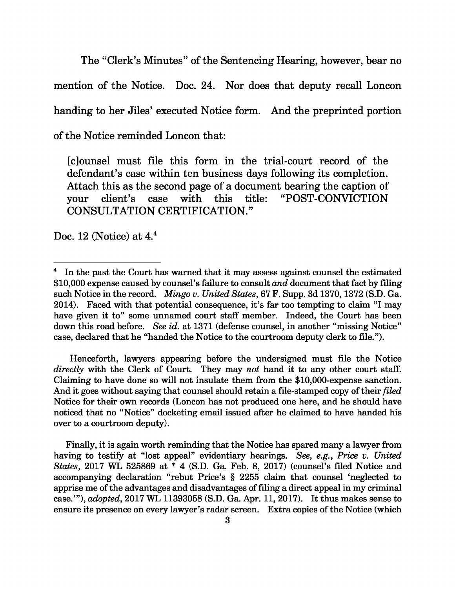The "Clerk's Minutes" of the Sentencing Hearing, however, bear no mention of the Notice. Doc. 24. Nor does that deputy recall Loncon handing to her Jiles' executed Notice form. And the preprinted portion of the Notice reminded Loncon that:

[c]ounsel must file this form in the trial-court record of the defendant's case within ten business days following its completion. Attach this as the second page of a document bearing the caption of your client's case with this title: "POST-CONVICTION CONSULTATION CERTIFICATION."

Doc. 12 (Notice) at  $4<sup>4</sup>$ 

Henceforth, lawyers appearing before the undersigned must file the Notice *directly* with the Clerk of Court. They may *not* hand it to any other court staff. Claiming to have done so will not insulate them from the \$10,000-expense sanction. And it goes without saying that counsel should retain a file-stamped copy of their *filed*  Notice for their own records (Loncon has not produced one here, and he should have noticed that no "Notice" docketing email issued after he claimed to have handed his over to a courtroom deputy).

Finally, it is again worth reminding that the Notice has spared many a lawyer from having to testify at "lost appeal" evidentiary hearings. *See, e.g.* , *Price v. United States*, 2017 WL 525869 at \* 4 (S.D. Ga. Feb. 8, 2017) (counsel's filed Notice and accompanying declaration "rebut Price's § 2255 claim that counsel 'neglected to apprise me of the advantages and disadvantages of filing a direct appeal in my criminal case.'"), *adopted*, 2017 WL 11393058 (S.D. Ga. Apr. 11, 2017). It thus makes sense to ensure its presence on every lawyer's radar screen. Extra copies of the Notice (which

In the past the Court has warned that it may assess against counsel the estimated \$10,000 expense caused by counsel's failure to consult *and* document that fact by filing such Notice in the record. *Mingo v. United States*, 67 F. Supp. 3d 1370, 1372 (S.D. Ga. 2014). Faced with that potential consequence, it's far too tempting to claim "I may have given it to" some unnamed court staff member. Indeed, the Court has been down this road before. *See id.* at 1371 (defense counsel, in another "missing Notice" case, declared that he "handed the Notice to the courtroom deputy clerk to file.").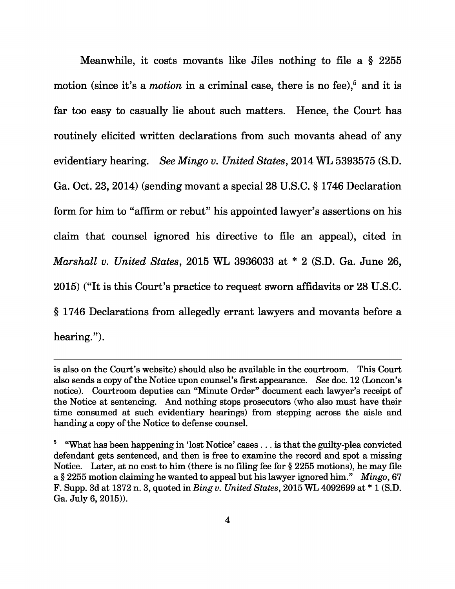Meanwhile, it costs movants like Jiles nothing to file a § 2255 motion (since it's a *motion* in a criminal case, there is no fee),<sup>5</sup> and it is far too easy to casually lie about such matters. Hence, the Court has routinely elicited written declarations from such movants ahead of any evidentiary hearing. *See Mingo v. United States* , 2014 WL 5393575 (S.D. Ga. Oct. 23, 2014) (sending movant a special 28 U.S.C. § 1746 Declaration form for him to "affirm or rebut" his appointed lawyer's assertions on his claim that counsel ignored his directive to file an appeal), cited in *Marshall v. United States*, 2015 WL 3936033 at \* 2 (S.D. Ga. June 26, 2015) ("It is this Court's practice to request sworn affidavits or 28 U.S.C. § 1746 Declarations from allegedly errant lawyers and movants before a hearing.").

is also on the Court's website) should also be available in the courtroom. This Court also sends a copy of the Notice upon counsel's first appearance. *See* doc. 12 (Loncon's notice). Courtroom deputies can "Minute Order" document each lawyer's receipt of the Notice at sentencing. And nothing stops prosecutors (who also must have their time consumed at such evidentiary hearings) from stepping across the aisle and handing a copy of the Notice to defense counsel.

<sup>&</sup>lt;sup>5</sup> "What has been happening in 'lost Notice' cases  $\dots$  is that the guilty-plea convicted defendant gets sentenced, and then is free to examine the record and spot a missing Notice. Later, at no cost to him (there is no filing fee for § 2255 motions), he may file a § 2255 motion claiming he wanted to appeal but his lawyer ignored him." *Mingo*, 67 F. Supp. 3d at 1372 n. 3, quoted in *Bing v. United States* , 2015 WL 4092699 at \* 1 (S.D. Ga. July 6, 2015)).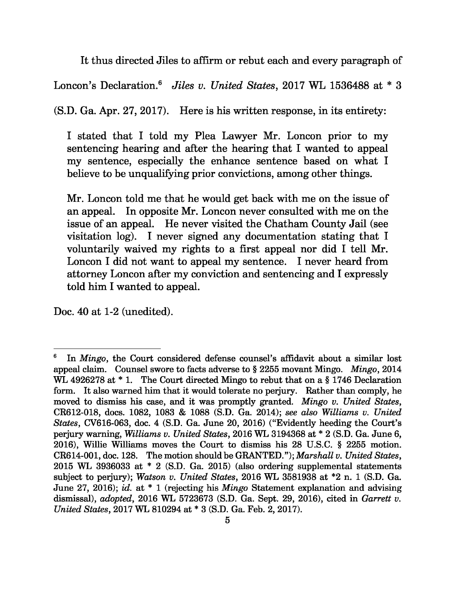It thus directed Jiles to affirm or rebut each and every paragraph of

Loncon's Declaration.<sup>6</sup> Jiles v. United States, 2017 WL 1536488 at \* 3

(S.D. Ga. Apr. 27, 2017). Here is his written response, in its entirety:

I stated that I told my Plea Lawyer Mr. Loncon prior to my sentencing hearing and after the hearing that I wanted to appeal my sentence, especially the enhance sentence based on what I believe to be unqualifying prior convictions, among other things.

Mr. Loncon told me that he would get back with me on the issue of an appeal. In opposite Mr. Loncon never consulted with me on the issue of an appeal. He never visited the Chatham County Jail (see visitation log). I never signed any documentation stating that I voluntarily waived my rights to a first appeal nor did I tell Mr. Loncon I did not want to appeal my sentence. I never heard from attorney Loncon after my conviction and sentencing and I expressly told him I wanted to appeal.

Doc. 40 at 1-2 (unedited).

<sup>6</sup>In *Mingo*, the Court considered defense counsel's affidavit about a similar lost appeal claim. Counsel swore to facts adverse to § 2255 movant Mingo. *Mingo*, 2014 WL 4926278 at  $*$  1. The Court directed Mingo to rebut that on a § 1746 Declaration form. It also warned him that it would tolerate no perjury. Rather than comply, he moved to dismiss his case, and it was promptly granted. *Mingo v. United States* , CR612-018, docs. 1082, 1083 & 1088 (S.D. Ga. 2014); *see also Williams v. United States*, CV616-063, doc. 4 (S.D. Ga. June 20, 2016) ("Evidently heeding the Court's perjury warning, *Williams v. United States* , 2016 WL 3194368 at \* 2 (S.D. Ga. June 6, 2016), Willie Williams moves the Court to dismiss his 28 U.S.C. § 2255 motion. CR614-001, doc. 128. The motion should be GRANTED."); *Marshall v. United States*, 2015 WL 3936033 at \* 2 (S.D. Ga. 2015) (also ordering supplemental statements subject to perjury); *Watson v. United States* , 2016 WL 3581938 at \*2 n. 1 (S.D. Ga. June 27, 2016); *id.* at \* 1 (rejecting his *Mingo* Statement explanation and advising dismissal), *adopted*, 2016 WL 5723673 (S.D. Ga. Sept. 29, 2016), cited in *Garrett v. United States*, 2017 WL 810294 at \* 3 (S.D. Ga. Feb. 2, 2017).